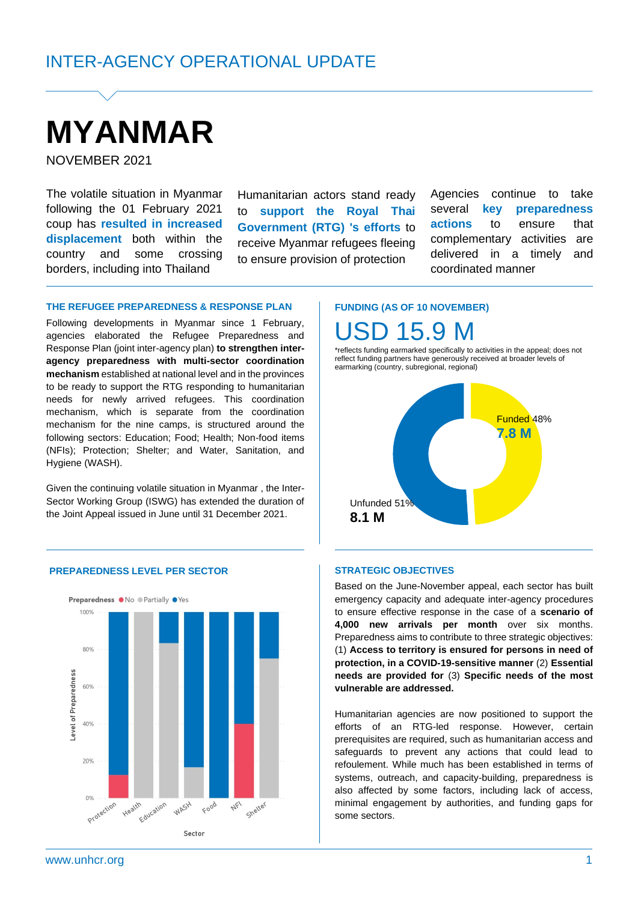# **MYANMAR**

NOVEMBER 2021

The volatile situation in Myanmar following the 01 February 2021 coup has **resulted in increased displacement** both within the country and some crossing borders, including into Thailand

Humanitarian actors stand ready to **support the Royal Thai Government (RTG) 's efforts** to receive Myanmar refugees fleeing to ensure provision of protection

Agencies continue to take several **key preparedness actions** to ensure that complementary activities are delivered in a timely and coordinated manner

#### **THE REFUGEE PREPAREDNESS & RESPONSE PLAN**

Following developments in Myanmar since 1 February, agencies elaborated the Refugee Preparedness and Response Plan (joint inter-agency plan) **to strengthen interagency preparedness with multi-sector coordination mechanism** established at national level and in the provinces to be ready to support the RTG responding to humanitarian needs for newly arrived refugees. This coordination mechanism, which is separate from the coordination mechanism for the nine camps, is structured around the following sectors: Education; Food; Health; Non-food items (NFIs); Protection; Shelter; and Water, Sanitation, and Hygiene (WASH).

Given the continuing volatile situation in Myanmar , the Inter-Sector Working Group (ISWG) has extended the duration of the Joint Appeal issued in June until 31 December 2021.

**FUNDING (AS OF 10 NOVEMBER)** SD 15.9 M

\*reflects funding earmarked specifically to activities in the appeal; does not reflect funding partners have generously received at broader levels of earmarking (country, subregional, regional)



#### **PREPAREDNESS LEVEL PER SECTOR SECTOR STRATEGIC OBJECTIVES**



Based on the June-November appeal, each sector has built emergency capacity and adequate inter-agency procedures to ensure effective response in the case of a **scenario of 4,000 new arrivals per month** over six months. Preparedness aims to contribute to three strategic objectives: (1) **Access to territory is ensured for persons in need of protection, in a COVID-19-sensitive manner** (2) **Essential needs are provided for** (3) **Specific needs of the most vulnerable are addressed.** 

Humanitarian agencies are now positioned to support the efforts of an RTG-led response. However, certain prerequisites are required, such as humanitarian access and safeguards to prevent any actions that could lead to refoulement. While much has been established in terms of systems, outreach, and capacity-building, preparedness is also affected by some factors, including lack of access, minimal engagement by authorities, and funding gaps for some sectors.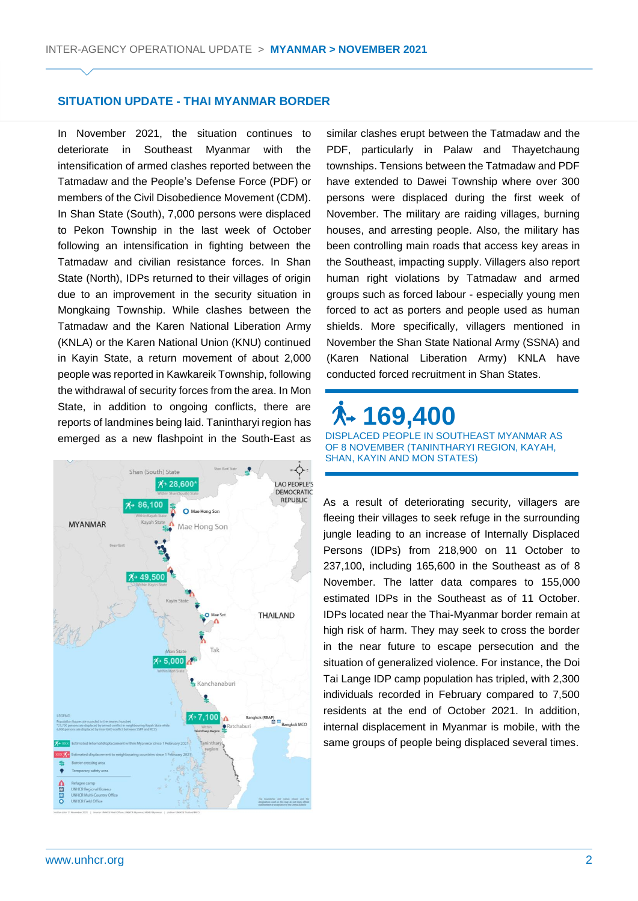#### **SITUATION UPDATE - THAI MYANMAR BORDER**

In November 2021, the situation continues to deteriorate in Southeast Myanmar with the intensification of armed clashes reported between the Tatmadaw and the People's Defense Force (PDF) or members of the Civil Disobedience Movement (CDM). In Shan State (South), 7,000 persons were displaced to Pekon Township in the last week of October following an intensification in fighting between the Tatmadaw and civilian resistance forces. In Shan State (North), IDPs returned to their villages of origin due to an improvement in the security situation in Mongkaing Township. While clashes between the Tatmadaw and the Karen National Liberation Army (KNLA) or the Karen National Union (KNU) continued in Kayin State, a return movement of about 2,000 people was reported in Kawkareik Township, following the withdrawal of security forces from the area. In Mon State, in addition to ongoing conflicts, there are reports of landmines being laid. Tanintharyi region has emerged as a new flashpoint in the South-East as



similar clashes erupt between the Tatmadaw and the PDF, particularly in Palaw and Thayetchaung townships. Tensions between the Tatmadaw and PDF have extended to Dawei Township where over 300 persons were displaced during the first week of November. The military are raiding villages, burning houses, and arresting people. Also, the military has been controlling main roads that access key areas in the Southeast, impacting supply. Villagers also report human right violations by Tatmadaw and armed groups such as forced labour - especially young men forced to act as porters and people used as human shields. More specifically, villagers mentioned in November the Shan State National Army (SSNA) and (Karen National Liberation Army) KNLA have conducted forced recruitment in Shan States.

### **169,400**  DISPLACED PEOPLE IN SOUTHEAST MYANMAR AS OF 8 NOVEMBER (TANINTHARYI REGION, KAYAH, SHAN, KAYIN AND MON STATES)

As a result of deteriorating security, villagers are fleeing their villages to seek refuge in the surrounding jungle leading to an increase of Internally Displaced Persons (IDPs) from 218,900 on 11 October to 237,100, including 165,600 in the Southeast as of 8 November. The latter data compares to 155,000 estimated IDPs in the Southeast as of 11 October. IDPs located near the Thai-Myanmar border remain at high risk of harm. They may seek to cross the border in the near future to escape persecution and the situation of generalized violence. For instance, the Doi Tai Lange IDP camp population has tripled, with 2,300 individuals recorded in February compared to 7,500 residents at the end of October 2021. In addition, internal displacement in Myanmar is mobile, with the same groups of people being displaced several times.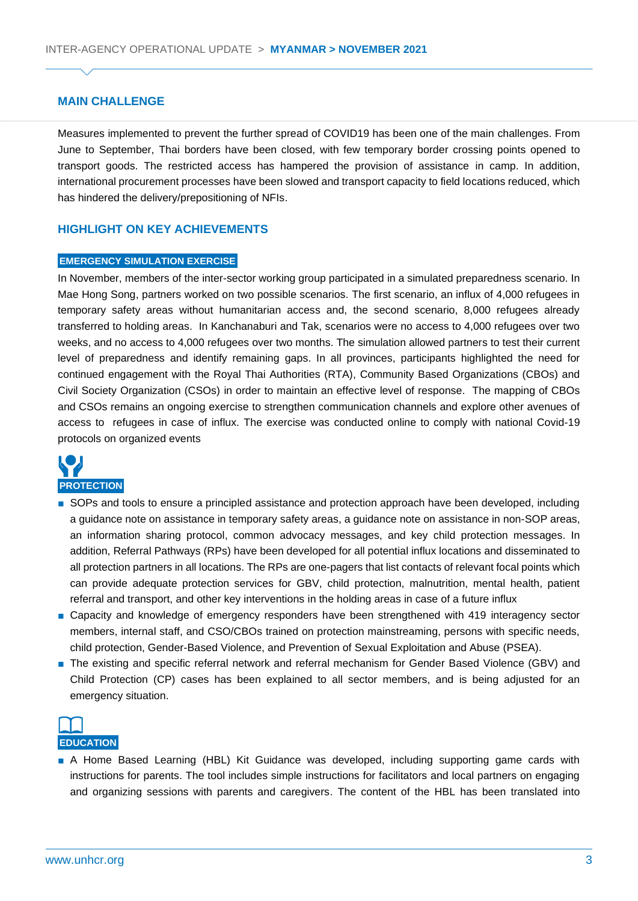#### **MAIN CHALLENGE**

Measures implemented to prevent the further spread of COVID19 has been one of the main challenges. From June to September, Thai borders have been closed, with few temporary border crossing points opened to transport goods. The restricted access has hampered the provision of assistance in camp. In addition, international procurement processes have been slowed and transport capacity to field locations reduced, which has hindered the delivery/prepositioning of NFIs.

#### **HIGHLIGHT ON KEY ACHIEVEMENTS**

#### **EMERGENCY SIMULATION EXERCISE**

In November, members of the inter-sector working group participated in a simulated preparedness scenario. In Mae Hong Song, partners worked on two possible scenarios. The first scenario, an influx of 4,000 refugees in temporary safety areas without humanitarian access and, the second scenario, 8,000 refugees already transferred to holding areas. In Kanchanaburi and Tak, scenarios were no access to 4,000 refugees over two weeks, and no access to 4,000 refugees over two months. The simulation allowed partners to test their current level of preparedness and identify remaining gaps. In all provinces, participants highlighted the need for continued engagement with the Royal Thai Authorities (RTA), Community Based Organizations (CBOs) and Civil Society Organization (CSOs) in order to maintain an effective level of response. The mapping of CBOs and CSOs remains an ongoing exercise to strengthen communication channels and explore other avenues of access to refugees in case of influx. The exercise was conducted online to comply with national Covid-19 protocols on organized events



- SOPs and tools to ensure a principled assistance and protection approach have been developed, including a guidance note on assistance in temporary safety areas, a guidance note on assistance in non-SOP areas, an information sharing protocol, common advocacy messages, and key child protection messages. In addition, Referral Pathways (RPs) have been developed for all potential influx locations and disseminated to all protection partners in all locations. The RPs are one-pagers that list contacts of relevant focal points which can provide adequate protection services for GBV, child protection, malnutrition, mental health, patient referral and transport, and other key interventions in the holding areas in case of a future influx
- Capacity and knowledge of emergency responders have been strengthened with 419 interagency sector members, internal staff, and CSO/CBOs trained on protection mainstreaming, persons with specific needs, child protection, Gender-Based Violence, and Prevention of Sexual Exploitation and Abuse (PSEA).
- The existing and specific referral network and referral mechanism for Gender Based Violence (GBV) and Child Protection (CP) cases has been explained to all sector members, and is being adjusted for an emergency situation.



■ A Home Based Learning (HBL) Kit Guidance was developed, including supporting game cards with instructions for parents. The tool includes simple instructions for facilitators and local partners on engaging and organizing sessions with parents and caregivers. The content of the HBL has been translated into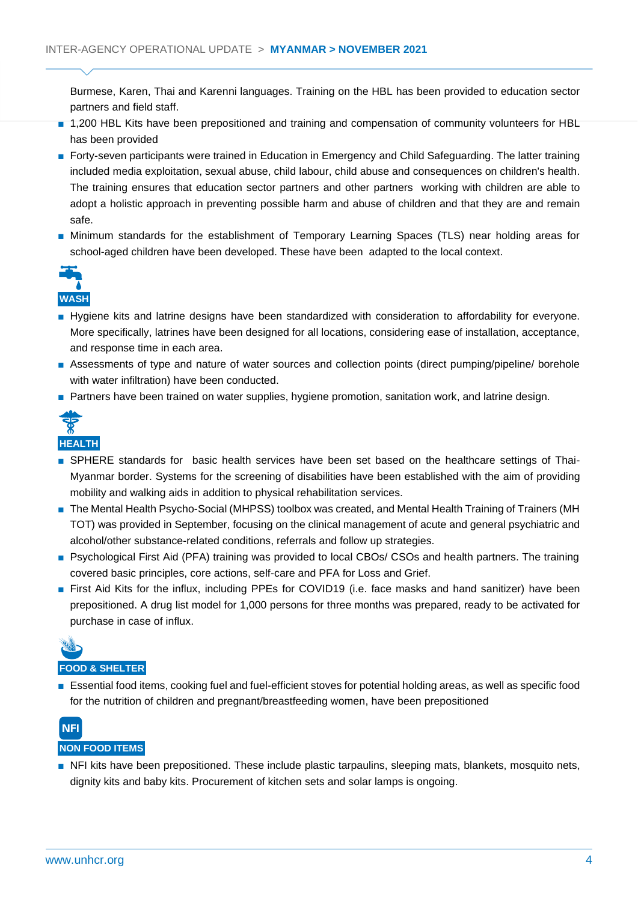Burmese, Karen, Thai and Karenni languages. Training on the HBL has been provided to education sector partners and field staff.

- 1,200 HBL Kits have been prepositioned and training and compensation of community volunteers for HBL has been provided
- Forty-seven participants were trained in Education in Emergency and Child Safeguarding. The latter training included media exploitation, sexual abuse, child labour, child abuse and consequences on children's health. The training ensures that education sector partners and other partners working with children are able to adopt a holistic approach in preventing possible harm and abuse of children and that they are and remain safe.
- Minimum standards for the establishment of Temporary Learning Spaces (TLS) near holding areas for school-aged children have been developed. These have been adapted to the local context.



- Hygiene kits and latrine designs have been standardized with consideration to affordability for everyone. More specifically, latrines have been designed for all locations, considering ease of installation, acceptance, and response time in each area.
- Assessments of type and nature of water sources and collection points (direct pumping/pipeline/ borehole with water infiltration) have been conducted.
- Partners have been trained on water supplies, hygiene promotion, sanitation work, and latrine design.



- SPHERE standards for basic health services have been set based on the healthcare settings of Thai-Myanmar border. Systems for the screening of disabilities have been established with the aim of providing mobility and walking aids in addition to physical rehabilitation services.
- The Mental Health Psycho-Social (MHPSS) toolbox was created, and Mental Health Training of Trainers (MH TOT) was provided in September, focusing on the clinical management of acute and general psychiatric and alcohol/other substance-related conditions, referrals and follow up strategies.
- Psychological First Aid (PFA) training was provided to local CBOs/ CSOs and health partners. The training covered basic principles, core actions, self-care and PFA for Loss and Grief.
- First Aid Kits for the influx, including PPEs for COVID19 (i.e. face masks and hand sanitizer) have been prepositioned. A drug list model for 1,000 persons for three months was prepared, ready to be activated for purchase in case of influx.



#### **FOOD & SHELTER**

■ Essential food items, cooking fuel and fuel-efficient stoves for potential holding areas, as well as specific food for the nutrition of children and pregnant/breastfeeding women, have been prepositioned



#### **NON FOOD ITEMS**

■ NFI kits have been prepositioned. These include plastic tarpaulins, sleeping mats, blankets, mosquito nets, dignity kits and baby kits. Procurement of kitchen sets and solar lamps is ongoing.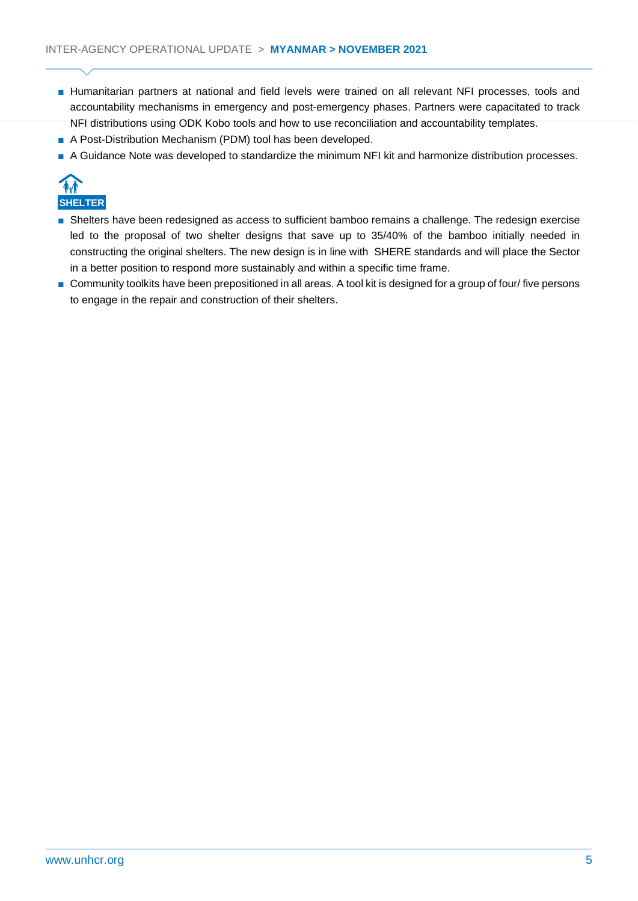- Humanitarian partners at national and field levels were trained on all relevant NFI processes, tools and accountability mechanisms in emergency and post-emergency phases. Partners were capacitated to track NFI distributions using ODK Kobo tools and how to use reconciliation and accountability templates.
- A Post-Distribution Mechanism (PDM) tool has been developed.
- A Guidance Note was developed to standardize the minimum NFI kit and harmonize distribution processes.



- Shelters have been redesigned as access to sufficient bamboo remains a challenge. The redesign exercise led to the proposal of two shelter designs that save up to 35/40% of the bamboo initially needed in constructing the original shelters. The new design is in line with SHERE standards and will place the Sector in a better position to respond more sustainably and within a specific time frame.
- Community toolkits have been prepositioned in all areas. A tool kit is designed for a group of four/ five persons to engage in the repair and construction of their shelters.